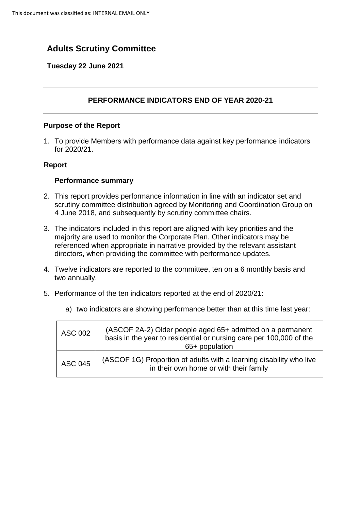# **Adults Scrutiny Committee**

### **Tuesday 22 June 2021**

## **PERFORMANCE INDICATORS END OF YEAR 2020-21**

#### **Purpose of the Report**

1. To provide Members with performance data against key performance indicators for 2020/21.

#### **Report**

#### **Performance summary**

- 2. This report provides performance information in line with an indicator set and scrutiny committee distribution agreed by Monitoring and Coordination Group on 4 June 2018, and subsequently by scrutiny committee chairs.
- 3. The indicators included in this report are aligned with key priorities and the majority are used to monitor the Corporate Plan. Other indicators may be referenced when appropriate in narrative provided by the relevant assistant directors, when providing the committee with performance updates.
- 4. Twelve indicators are reported to the committee, ten on a 6 monthly basis and two annually.
- 5. Performance of the ten indicators reported at the end of 2020/21:

| <b>ASC 002</b> | (ASCOF 2A-2) Older people aged 65+ admitted on a permanent<br>basis in the year to residential or nursing care per 100,000 of the<br>65+ population |
|----------------|-----------------------------------------------------------------------------------------------------------------------------------------------------|
| <b>ASC 045</b> | (ASCOF 1G) Proportion of adults with a learning disability who live<br>in their own home or with their family                                       |

a) two indicators are showing performance better than at this time last year: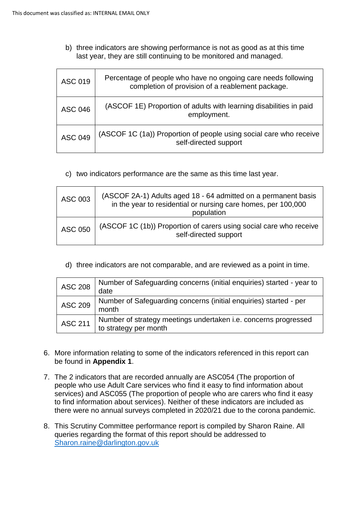b) three indicators are showing performance is not as good as at this time last year, they are still continuing to be monitored and managed.

| <b>ASC 019</b> | Percentage of people who have no ongoing care needs following<br>completion of provision of a reablement package. |
|----------------|-------------------------------------------------------------------------------------------------------------------|
| <b>ASC 046</b> | (ASCOF 1E) Proportion of adults with learning disabilities in paid<br>employment.                                 |
| <b>ASC 049</b> | (ASCOF 1C (1a)) Proportion of people using social care who receive<br>self-directed support                       |

c) two indicators performance are the same as this time last year.

| ASC 003        | (ASCOF 2A-1) Adults aged 18 - 64 admitted on a permanent basis<br>in the year to residential or nursing care homes, per 100,000<br>population |
|----------------|-----------------------------------------------------------------------------------------------------------------------------------------------|
| <b>ASC 050</b> | (ASCOF 1C (1b)) Proportion of carers using social care who receive<br>self-directed support                                                   |

d) three indicators are not comparable, and are reviewed as a point in time.

| <b>ASC 208</b> | Number of Safeguarding concerns (initial enquiries) started - year to<br>date            |
|----------------|------------------------------------------------------------------------------------------|
| <b>ASC 209</b> | Number of Safeguarding concerns (initial enquiries) started - per<br>month               |
| <b>ASC 211</b> | Number of strategy meetings undertaken i.e. concerns progressed<br>to strategy per month |

- 6. More information relating to some of the indicators referenced in this report can be found in **Appendix 1**.
- 7. The 2 indicators that are recorded annually are ASC054 (The proportion of people who use Adult Care services who find it easy to find information about services) and ASC055 (The proportion of people who are carers who find it easy to find information about services). Neither of these indicators are included as there were no annual surveys completed in 2020/21 due to the corona pandemic.
- 8. This Scrutiny Committee performance report is compiled by Sharon Raine. All queries regarding the format of this report should be addressed to Sharon.raine@darlington.gov.uk